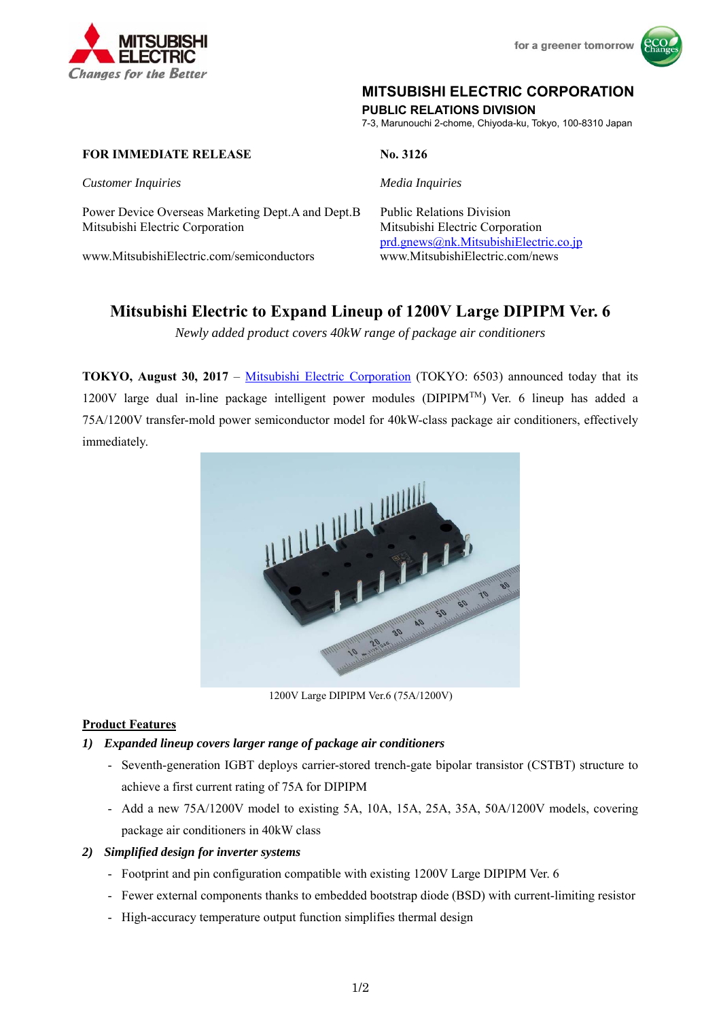



## **MITSUBISHI ELECTRIC CORPORATION**

**PUBLIC RELATIONS DIVISION** 

7-3, Marunouchi 2-chome, Chiyoda-ku, Tokyo, 100-8310 Japan

## **FOR IMMEDIATE RELEASE** No. 3126

*Customer Inquiries Media Inquiries*

Power Device Overseas Marketing Dept.A and Dept.B Public Relations Division Mitsubishi Electric Corporation Mitsubishi Electric Corporation

www.MitsubishiElectric.com/semiconductors www.MitsubishiElectric.com/news

prd.gnews@nk.MitsubishiElectric.co.jp

# **Mitsubishi Electric to Expand Lineup of 1200V Large DIPIPM Ver. 6**

*Newly added product covers 40kW range of package air conditioners* 

**TOKYO, August 30, 2017** – Mitsubishi Electric Corporation (TOKYO: 6503) announced today that its 1200V large dual in-line package intelligent power modules (DIPIPM<sup>TM</sup>) Ver. 6 lineup has added a 75A/1200V transfer-mold power semiconductor model for 40kW-class package air conditioners, effectively immediately.



1200V Large DIPIPM Ver.6 (75A/1200V)

## **Product Features**

## *1) Expanded lineup covers larger range of package air conditioners*

- Seventh-generation IGBT deploys carrier-stored trench-gate bipolar transistor (CSTBT) structure to achieve a first current rating of 75A for DIPIPM
- Add a new 75A/1200V model to existing 5A, 10A, 15A, 25A, 35A, 50A/1200V models, covering package air conditioners in 40kW class

## *2) Simplified design for inverter systems*

- Footprint and pin configuration compatible with existing 1200V Large DIPIPM Ver. 6
- Fewer external components thanks to embedded bootstrap diode (BSD) with current-limiting resistor
- High-accuracy temperature output function simplifies thermal design